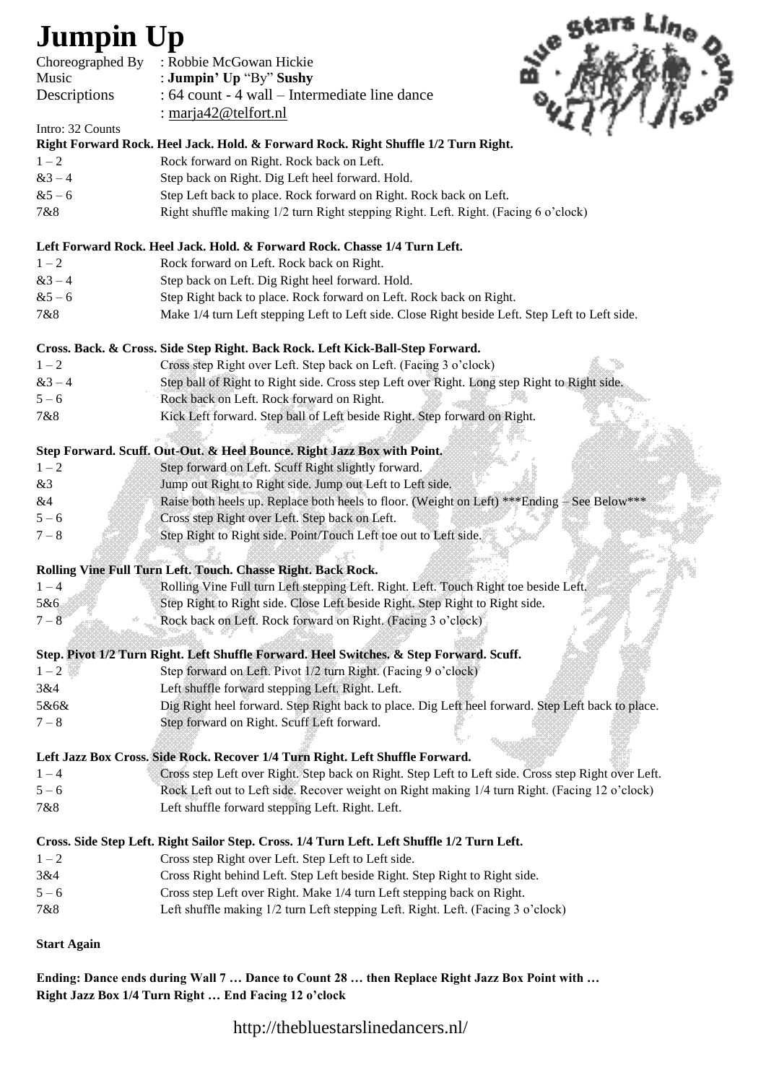## **Jumpin Up**

| <b>Jumpin Up</b>   |                                                                                                     |
|--------------------|-----------------------------------------------------------------------------------------------------|
|                    |                                                                                                     |
| Choreographed By   | : Robbie McGowan Hickie                                                                             |
| Music              | : Jumpin' Up "By" Sushy                                                                             |
| Descriptions       | : 64 count - 4 wall – Intermediate line dance                                                       |
| Intro: 32 Counts   | : marja42@telfort.nl                                                                                |
|                    | Right Forward Rock. Heel Jack. Hold. & Forward Rock. Right Shuffle 1/2 Turn Right.                  |
| $1 - 2$            | Rock forward on Right. Rock back on Left.                                                           |
| $&3 - 4$           | Step back on Right. Dig Left heel forward. Hold.                                                    |
| $&5-6$             | Step Left back to place. Rock forward on Right. Rock back on Left.                                  |
| 7&8                | Right shuffle making 1/2 turn Right stepping Right. Left. Right. (Facing 6 o'clock)                 |
|                    | Left Forward Rock. Heel Jack. Hold. & Forward Rock. Chasse 1/4 Turn Left.                           |
| $1 - 2$            | Rock forward on Left. Rock back on Right.                                                           |
| $&3 - 4$           | Step back on Left. Dig Right heel forward. Hold.                                                    |
| $&5-6$             | Step Right back to place. Rock forward on Left. Rock back on Right.                                 |
| 7&8                | Make 1/4 turn Left stepping Left to Left side. Close Right beside Left. Step Left to Left side.     |
|                    | Cross. Back. & Cross. Side Step Right. Back Rock. Left Kick-Ball-Step Forward.                      |
| $1 - 2$            | Cross step Right over Left. Step back on Left. (Facing 3 o'clock)                                   |
| $&3 - 4$           | Step ball of Right to Right side. Cross step Left over Right. Long step Right to Right side.        |
| $5 - 6$            | Rock back on Left. Rock forward on Right.                                                           |
| 7&8                | Kick Left forward. Step ball of Left beside Right. Step forward on Right.                           |
|                    | Step Forward. Scuff. Out-Out. & Heel Bounce. Right Jazz Box with Point.                             |
| $1 - 2$            | Step forward on Left. Scuff Right slightly forward.                                                 |
| &3                 | Jump out Right to Right side. Jump out Left to Left side.                                           |
| &4                 | Raise both heels up. Replace both heels to floor. (Weight on Left) *** Ending - See Below***        |
| $5 - 6$            | Cross step Right over Left. Step back on Left.                                                      |
| $7 - 8$            | Step Right to Right side. Point/Touch Left toe out to Left side.                                    |
|                    | Rolling Vine Full Turn Left. Touch. Chasse Right. Back Rock.                                        |
|                    | Rolling Vine Full turn Left stepping Left. Right. Left. Touch Right toe beside Left.                |
| 5&6                | Step Right to Right side. Close Left beside Right. Step Right to Right side.                        |
| $7 - 8$<br>ŵ       | Rock back on Left. Rock forward on Right. (Facing 3 o'clock)                                        |
|                    | Step. Pivot 1/2 Turn Right. Left Shuffle Forward. Heel Switches. & Step Forward. Scuff.             |
| $1 - 2$            | Step forward on Left. Pivot 1/2 turn Right. (Facing 9 o'clock)                                      |
| 3&4                | Left shuffle forward stepping Left. Right. Left.                                                    |
| 5&6&               | Dig Right heel forward. Step Right back to place. Dig Left heel forward. Step Left back to place.   |
| $7 - 8$            | Step forward on Right. Seuff Left forward.                                                          |
|                    | Left Jazz Box Cross. Side Rock. Recover 1/4 Turn Right. Left Shuffle Forward.                       |
| $1 - 4$            | Cross step Left over Right. Step back on Right. Step Left to Left side. Cross step Right over Left. |
| $5 - 6$            | Rock Left out to Left side. Recover weight on Right making 1/4 turn Right. (Facing 12 o'clock)      |
| 7&8                | Left shuffle forward stepping Left. Right. Left.                                                    |
|                    | Cross. Side Step Left. Right Sailor Step. Cross. 1/4 Turn Left. Left Shuffle 1/2 Turn Left.         |
| $1 - 2$            | Cross step Right over Left. Step Left to Left side.                                                 |
| 3&4                | Cross Right behind Left. Step Left beside Right. Step Right to Right side.                          |
| $5 - 6$            | Cross step Left over Right. Make 1/4 turn Left stepping back on Right.                              |
| 7&8                | Left shuffle making 1/2 turn Left stepping Left. Right. Left. (Facing 3 o'clock)                    |
| <b>Start Again</b> |                                                                                                     |

**Ending: Dance ends during Wall 7 … Dance to Count 28 … then Replace Right Jazz Box Point with … Right Jazz Box 1/4 Turn Right … End Facing 12 o'clock**